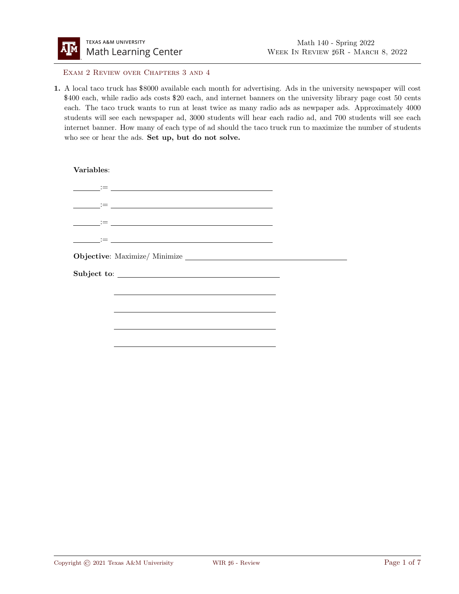

Exam 2 Review over Chapters 3 and 4

1. A local taco truck has \$8000 available each month for advertising. Ads in the university newspaper will cost \$400 each, while radio ads costs \$20 each, and internet banners on the university library page cost 50 cents each. The taco truck wants to run at least twice as many radio ads as newpaper ads. Approximately 4000 students will see each newspaper ad, 3000 students will hear each radio ad, and 700 students will see each internet banner. How many of each type of ad should the taco truck run to maximize the number of students who see or hear the ads. Set up, but do not solve.

Variables: := := := := Objective: Maximize/ Minimize Subject to: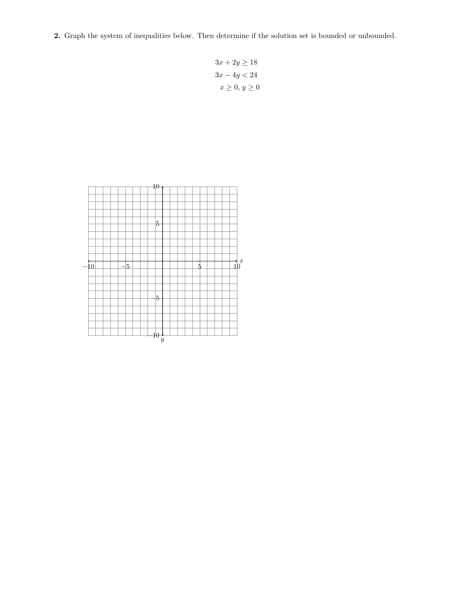2. Graph the system of inequalities below. Then determine if the solution set is bounded or unbounded.

$$
3x + 2y \ge 18
$$
  

$$
3x - 4y < 24
$$
  

$$
x \ge 0, y \ge 0
$$

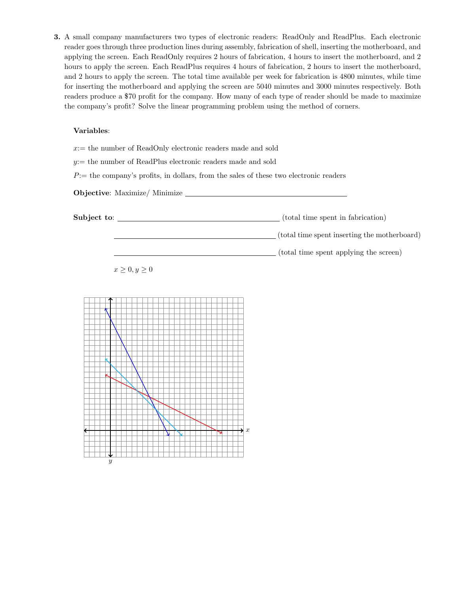3. A small company manufacturers two types of electronic readers: ReadOnly and ReadPlus. Each electronic reader goes through three production lines during assembly, fabrication of shell, inserting the motherboard, and applying the screen. Each ReadOnly requires 2 hours of fabrication, 4 hours to insert the motherboard, and 2 hours to apply the screen. Each ReadPlus requires 4 hours of fabrication, 2 hours to insert the motherboard, and 2 hours to apply the screen. The total time available per week for fabrication is 4800 minutes, while time for inserting the motherboard and applying the screen are 5040 minutes and 3000 minutes respectively. Both readers produce a \$70 profit for the company. How many of each type of reader should be made to maximize the company's profit? Solve the linear programming problem using the method of corners.

## Variables:

 $x:=$  the number of ReadOnly electronic readers made and sold

 $y:=$  the number of ReadPlus electronic readers made and sold

 $P:=$  the company's profits, in dollars, from the sales of these two electronic readers

Objective: Maximize/ Minimize

Subject to: (total time spent in fabrication)

(total time spent inserting the motherboard)

(total time spent applying the screen)

 $x \geq 0, y \geq 0$ 

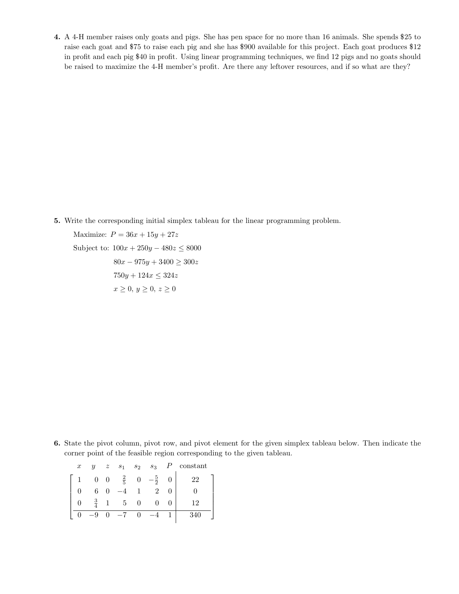4. A 4-H member raises only goats and pigs. She has pen space for no more than 16 animals. She spends \$25 to raise each goat and \$75 to raise each pig and she has \$900 available for this project. Each goat produces \$12 in profit and each pig \$40 in profit. Using linear programming techniques, we find 12 pigs and no goats should be raised to maximize the 4-H member's profit. Are there any leftover resources, and if so what are they?

5. Write the corresponding initial simplex tableau for the linear programming problem.

Maximize:  $P = 36x + 15y + 27z$ 

Subject to:  $100x + 250y - 480z \le 8000$  $80x - 975y + 3400 \ge 300z$  $750y + 124x \le 324z$  $x \geq 0, y \geq 0, z \geq 0$ 

6. State the pivot column, pivot row, and pivot element for the given simplex tableau below. Then indicate the corner point of the feasible region corresponding to the given tableau.

| $\boldsymbol{x}$ | $\boldsymbol{y}$ | $\boldsymbol{z}$         | s <sub>1</sub> | $s_2$ | $s_3$          |   | constant |
|------------------|------------------|--------------------------|----------------|-------|----------------|---|----------|
|                  | $\overline{0}$   | $\overline{\phantom{0}}$ | $\frac{2}{5}$  |       | $\overline{2}$ |   | 22       |
|                  |                  |                          |                |       |                |   |          |
|                  |                  |                          | -5             |       |                | 0 | 12       |
|                  |                  |                          | $-7$           |       |                |   | 340      |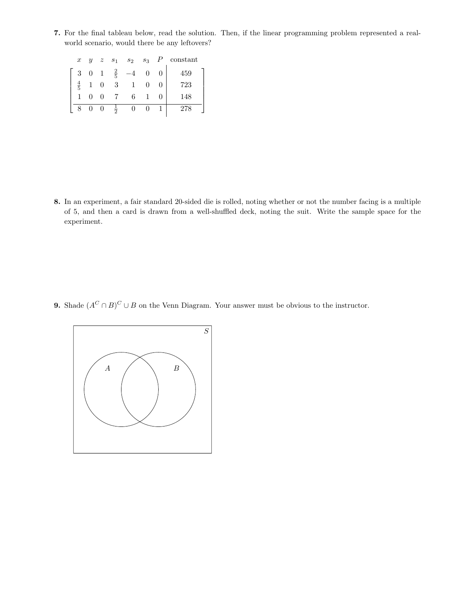7. For the final tableau below, read the solution. Then, if the linear programming problem represented a realworld scenario, would there be any leftovers?

| $\boldsymbol{x}$ |                | $y \quad z \quad s_1$ |               | $s_2$ $s_3$ $P$ |  | constant |
|------------------|----------------|-----------------------|---------------|-----------------|--|----------|
| 3                | $\overline{0}$ | 1                     | $\frac{2}{5}$ |                 |  | 459      |
| $\overline{5}$   |                |                       | 3             |                 |  | 723      |
|                  |                |                       |               | 6               |  | 148      |
|                  |                | 0                     | 츻             |                 |  | 278      |

8. In an experiment, a fair standard 20-sided die is rolled, noting whether or not the number facing is a multiple of 5, and then a card is drawn from a well-shuffled deck, noting the suit. Write the sample space for the experiment.

**9.** Shade  $(A^C \cap B)^C \cup B$  on the Venn Diagram. Your answer must be obvious to the instructor.

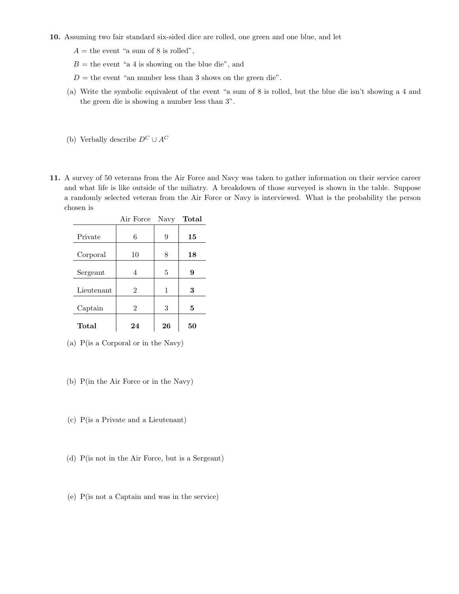## 10. Assuming two fair standard six-sided dice are rolled, one green and one blue, and let

- $A =$  the event "a sum of 8 is rolled",
- $B =$  the event "a 4 is showing on the blue die", and
- $D =$  the event "an number less than 3 shows on the green die".
- (a) Write the symbolic equivalent of the event "a sum of 8 is rolled, but the blue die isn't showing a 4 and the green die is showing a number less than 3".
- (b) Verbally describe  $D^C \cup A^C$
- 11. A survey of 50 veterans from the Air Force and Navy was taken to gather information on their service career and what life is like outside of the miliatry. A breakdown of those surveyed is shown in the table. Suppose a randomly selected veteran from the Air Force or Navy is interviewed. What is the probability the person chosen is

|            | Air Force      | Navy | Total |
|------------|----------------|------|-------|
| Private    | 6              | 9    | 15    |
| Corporal   | 10             | 8    | 18    |
| Sergeant   | 4              | 5    | 9     |
| Lieutenant | $\overline{2}$ | 1    | 3     |
| Captain    | $\overline{2}$ | 3    | 5     |
| Total      | 24             | 26   | 50    |

- (a) P(is a Corporal or in the Navy)
- (b) P(in the Air Force or in the Navy)
- (c) P(is a Private and a Lieutenant)
- (d) P(is not in the Air Force, but is a Sergeant)
- (e) P(is not a Captain and was in the service)